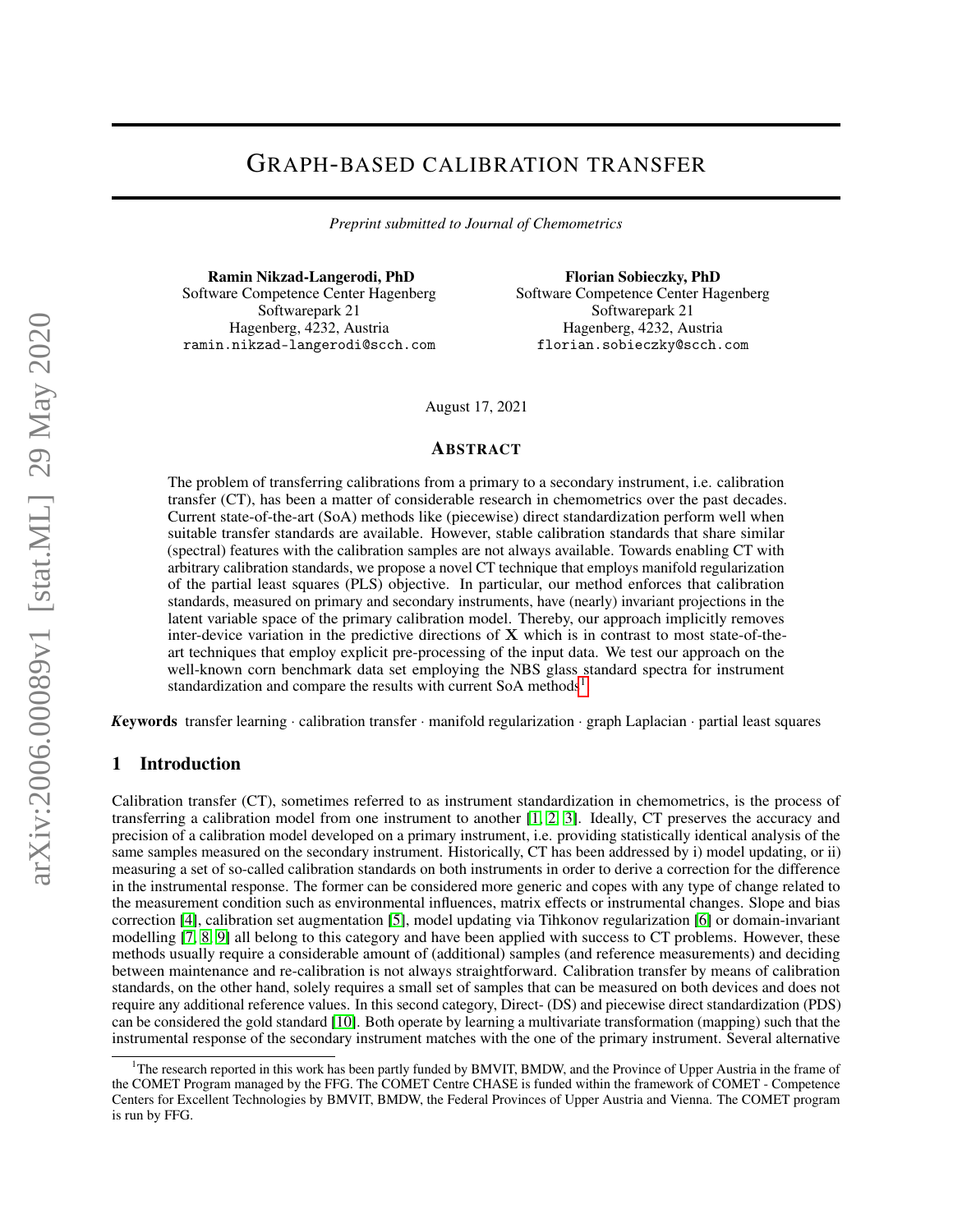# GRAPH-BASED CALIBRATION TRANSFER

*Preprint submitted to Journal of Chemometrics*

Ramin Nikzad-Langerodi, PhD Software Competence Center Hagenberg Softwarepark 21 Hagenberg, 4232, Austria ramin.nikzad-langerodi@scch.com

Florian Sobieczky, PhD Software Competence Center Hagenberg Softwarepark 21 Hagenberg, 4232, Austria florian.sobieczky@scch.com

August 17, 2021

#### ABSTRACT

The problem of transferring calibrations from a primary to a secondary instrument, i.e. calibration transfer (CT), has been a matter of considerable research in chemometrics over the past decades. Current state-of-the-art (SoA) methods like (piecewise) direct standardization perform well when suitable transfer standards are available. However, stable calibration standards that share similar (spectral) features with the calibration samples are not always available. Towards enabling CT with arbitrary calibration standards, we propose a novel CT technique that employs manifold regularization of the partial least squares (PLS) objective. In particular, our method enforces that calibration standards, measured on primary and secondary instruments, have (nearly) invariant projections in the latent variable space of the primary calibration model. Thereby, our approach implicitly removes inter-device variation in the predictive directions of  $X$  which is in contrast to most state-of-theart techniques that employ explicit pre-processing of the input data. We test our approach on the well-known corn benchmark data set employing the NBS glass standard spectra for instrument standardization and compare the results with current SoA methods<sup>[1](#page-0-0)</sup>.

*K*eywords transfer learning · calibration transfer · manifold regularization · graph Laplacian · partial least squares

# 1 Introduction

Calibration transfer (CT), sometimes referred to as instrument standardization in chemometrics, is the process of transferring a calibration model from one instrument to another [\[1,](#page-8-0) [2,](#page-8-1) [3\]](#page-8-2). Ideally, CT preserves the accuracy and precision of a calibration model developed on a primary instrument, i.e. providing statistically identical analysis of the same samples measured on the secondary instrument. Historically, CT has been addressed by i) model updating, or ii) measuring a set of so-called calibration standards on both instruments in order to derive a correction for the difference in the instrumental response. The former can be considered more generic and copes with any type of change related to the measurement condition such as environmental influences, matrix effects or instrumental changes. Slope and bias correction [\[4\]](#page-8-3), calibration set augmentation [\[5\]](#page-8-4), model updating via Tihkonov regularization [\[6\]](#page-8-5) or domain-invariant modelling [\[7,](#page-8-6) [8,](#page-8-7) [9\]](#page-8-8) all belong to this category and have been applied with success to CT problems. However, these methods usually require a considerable amount of (additional) samples (and reference measurements) and deciding between maintenance and re-calibration is not always straightforward. Calibration transfer by means of calibration standards, on the other hand, solely requires a small set of samples that can be measured on both devices and does not require any additional reference values. In this second category, Direct- (DS) and piecewise direct standardization (PDS) can be considered the gold standard [\[10\]](#page-8-9). Both operate by learning a multivariate transformation (mapping) such that the instrumental response of the secondary instrument matches with the one of the primary instrument. Several alternative

<span id="page-0-0"></span><sup>1</sup>The research reported in this work has been partly funded by BMVIT, BMDW, and the Province of Upper Austria in the frame of the COMET Program managed by the FFG. The COMET Centre CHASE is funded within the framework of COMET - Competence Centers for Excellent Technologies by BMVIT, BMDW, the Federal Provinces of Upper Austria and Vienna. The COMET program is run by FFG.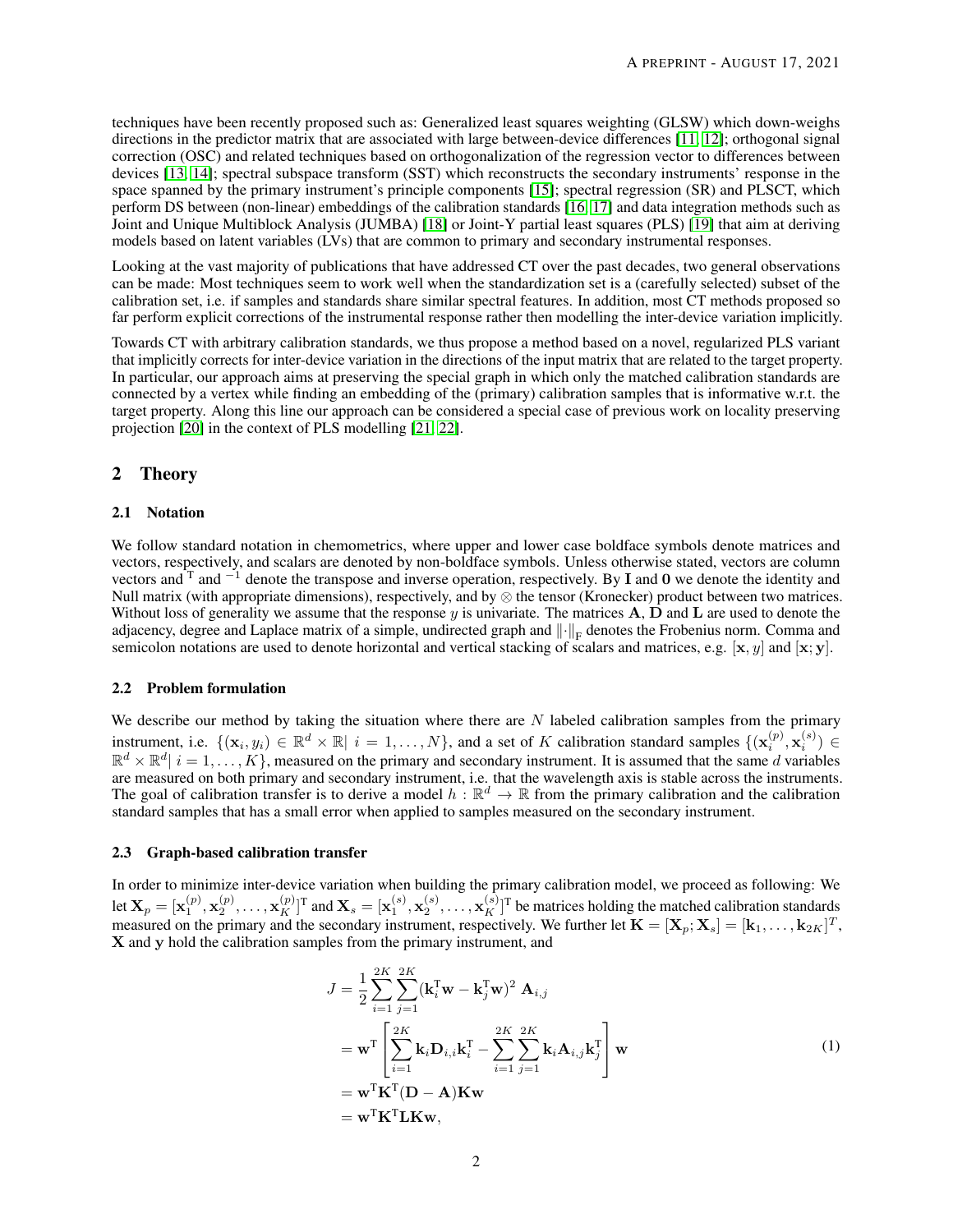techniques have been recently proposed such as: Generalized least squares weighting (GLSW) which down-weighs directions in the predictor matrix that are associated with large between-device differences [\[11,](#page-8-10) [12\]](#page-8-11); orthogonal signal correction (OSC) and related techniques based on orthogonalization of the regression vector to differences between devices [\[13,](#page-8-12) [14\]](#page-8-13); spectral subspace transform (SST) which reconstructs the secondary instruments' response in the space spanned by the primary instrument's principle components [\[15\]](#page-8-14); spectral regression (SR) and PLSCT, which perform DS between (non-linear) embeddings of the calibration standards [\[16,](#page-8-15) [17\]](#page-8-16) and data integration methods such as Joint and Unique Multiblock Analysis (JUMBA) [\[18\]](#page-8-17) or Joint-Y partial least squares (PLS) [\[19\]](#page-9-0) that aim at deriving models based on latent variables (LVs) that are common to primary and secondary instrumental responses.

Looking at the vast majority of publications that have addressed CT over the past decades, two general observations can be made: Most techniques seem to work well when the standardization set is a (carefully selected) subset of the calibration set, i.e. if samples and standards share similar spectral features. In addition, most CT methods proposed so far perform explicit corrections of the instrumental response rather then modelling the inter-device variation implicitly.

Towards CT with arbitrary calibration standards, we thus propose a method based on a novel, regularized PLS variant that implicitly corrects for inter-device variation in the directions of the input matrix that are related to the target property. In particular, our approach aims at preserving the special graph in which only the matched calibration standards are connected by a vertex while finding an embedding of the (primary) calibration samples that is informative w.r.t. the target property. Along this line our approach can be considered a special case of previous work on locality preserving projection [\[20\]](#page-9-1) in the context of PLS modelling [\[21,](#page-9-2) [22\]](#page-9-3).

## 2 Theory

#### 2.1 Notation

We follow standard notation in chemometrics, where upper and lower case boldface symbols denote matrices and vectors, respectively, and scalars are denoted by non-boldface symbols. Unless otherwise stated, vectors are column vectors and  $T$  and  $^{-1}$  denote the transpose and inverse operation, respectively. By I and 0 we denote the identity and Null matrix (with appropriate dimensions), respectively, and by ⊗ the tensor (Kronecker) product between two matrices. Without loss of generality we assume that the response  $y$  is univariate. The matrices  $A$ ,  $D$  and  $L$  are used to denote the adjacency, degree and Laplace matrix of a simple, undirected graph and  $\|\cdot\|_F$  denotes the Frobenius norm. Comma and semicolon notations are used to denote horizontal and vertical stacking of scalars and matrices, e.g.  $[x, y]$  and  $[x, y]$ .

#### 2.2 Problem formulation

We describe our method by taking the situation where there are  $N$  labeled calibration samples from the primary instrument, i.e.  $\{(\mathbf{x}_i, y_i) \in \mathbb{R}^d \times \mathbb{R} | i = 1, ..., N\}$ , and a set of K calibration standard samples  $\{(\mathbf{x}_i^{(p)}, \mathbf{x}_i^{(s)}) \in$  $\mathbb{R}^d \times \mathbb{R}^d \mid i = 1, \ldots, K$ , measured on the primary and secondary instrument. It is assumed that the same d variables are measured on both primary and secondary instrument, i.e. that the wavelength axis is stable across the instruments. The goal of calibration transfer is to derive a model  $h : \mathbb{R}^d \to \mathbb{R}$  from the primary calibration and the calibration standard samples that has a small error when applied to samples measured on the secondary instrument.

#### 2.3 Graph-based calibration transfer

In order to minimize inter-device variation when building the primary calibration model, we proceed as following: We let  $\mathbf{X}_p = [\mathbf{x}_1^{(p)}, \mathbf{x}_2^{(p)}, \dots, \mathbf{x}_K^{(p)}]^T$  and  $\mathbf{X}_s = [\mathbf{x}_1^{(s)}, \mathbf{x}_2^{(s)}, \dots, \mathbf{x}_K^{(s)}]^T$  be matrices holding the matched calibration standards measured on the primary and the secondary instrument, respectively. We further let  $\mathbf{K} = [\mathbf{X}_p; \mathbf{X}_s] = [\mathbf{k}_1, \dots, \mathbf{k}_{2K}]^T$ , X and y hold the calibration samples from the primary instrument, and

<span id="page-1-0"></span>
$$
J = \frac{1}{2} \sum_{i=1}^{2K} \sum_{j=1}^{2K} (\mathbf{k}_i^{\mathrm{T}} \mathbf{w} - \mathbf{k}_j^{\mathrm{T}} \mathbf{w})^2 \mathbf{A}_{i,j}
$$
  
\n
$$
= \mathbf{w}^{\mathrm{T}} \left[ \sum_{i=1}^{2K} \mathbf{k}_i \mathbf{D}_{i,i} \mathbf{k}_i^{\mathrm{T}} - \sum_{i=1}^{2K} \sum_{j=1}^{2K} \mathbf{k}_i \mathbf{A}_{i,j} \mathbf{k}_j^{\mathrm{T}} \right] \mathbf{w}
$$
  
\n
$$
= \mathbf{w}^{\mathrm{T}} \mathbf{K}^{\mathrm{T}} (\mathbf{D} - \mathbf{A}) \mathbf{K} \mathbf{w}
$$
  
\n
$$
= \mathbf{w}^{\mathrm{T}} \mathbf{K}^{\mathrm{T}} \mathbf{L} \mathbf{K} \mathbf{w},
$$
 (1)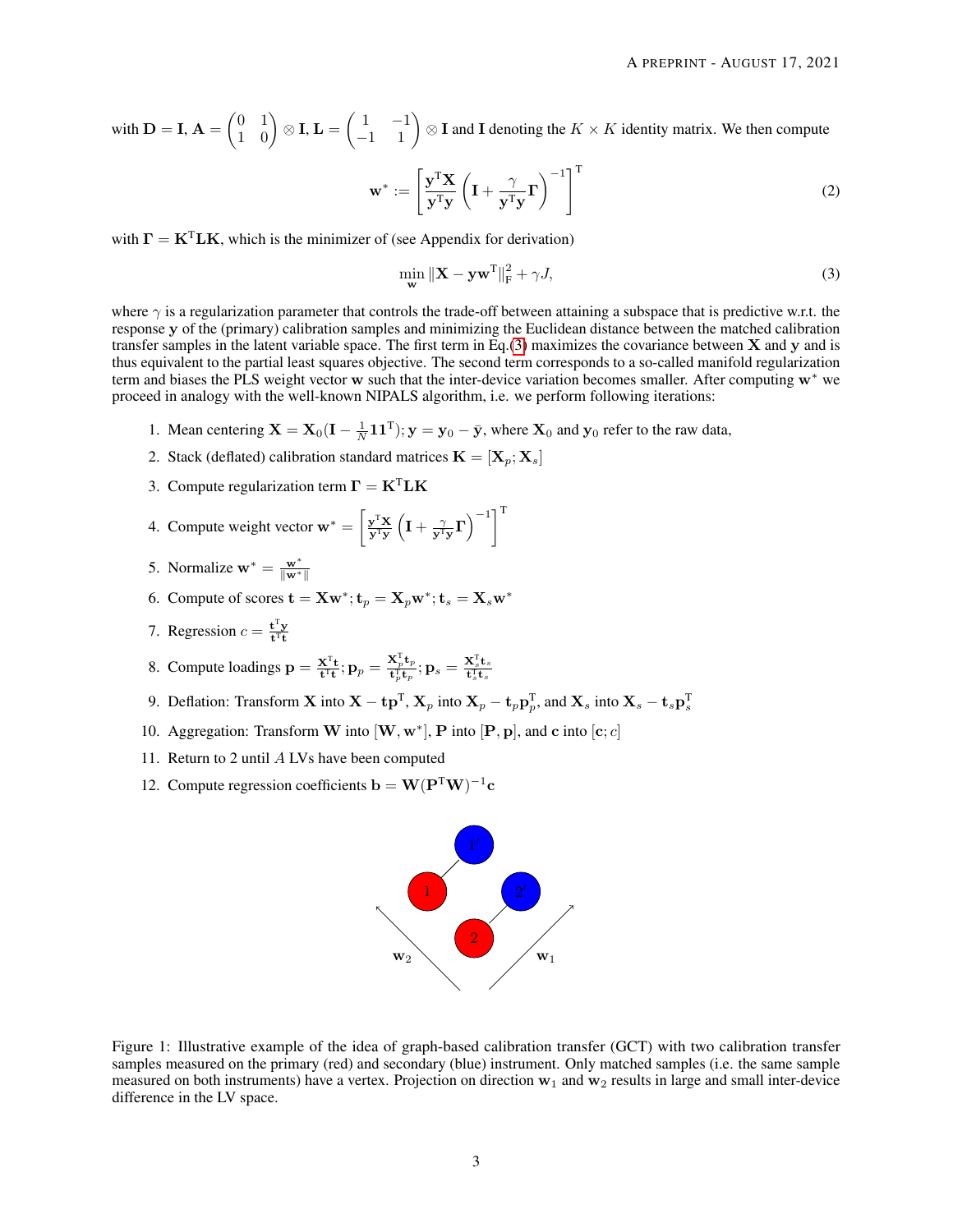with  $\mathbf{D} = \mathbf{I}$ ,  $\mathbf{A} = \begin{pmatrix} 0 & 1 \\ 1 & 0 \end{pmatrix} \otimes \mathbf{I}$ ,  $\mathbf{L} = \begin{pmatrix} 1 & -1 \\ -1 & 1 \end{pmatrix} \otimes \mathbf{I}$  and  $\mathbf{I}$  denoting the  $K \times K$  identity matrix. We then compute

$$
\mathbf{w}^* := \left[ \frac{\mathbf{y}^{\mathrm{T}} \mathbf{X}}{\mathbf{y}^{\mathrm{T}} \mathbf{y}} \left( \mathbf{I} + \frac{\gamma}{\mathbf{y}^{\mathrm{T}} \mathbf{y}} \mathbf{\Gamma} \right)^{-1} \right]^{\mathrm{T}}
$$
(2)

with  $\mathbf{\Gamma} = \mathbf{K}^{\mathrm{T}} \mathbf{L} \mathbf{K}$ , which is the minimizer of (see Appendix for derivation)

<span id="page-2-2"></span><span id="page-2-0"></span>
$$
\min_{\mathbf{w}} \|\mathbf{X} - \mathbf{y}\mathbf{w}^{\mathrm{T}}\|_{\mathrm{F}}^2 + \gamma J,\tag{3}
$$

where  $\gamma$  is a regularization parameter that controls the trade-off between attaining a subspace that is predictive w.r.t. the response y of the (primary) calibration samples and minimizing the Euclidean distance between the matched calibration transfer samples in the latent variable space. The first term in Eq.[\(3\)](#page-2-0) maximizes the covariance between  $X$  and  $y$  and is thus equivalent to the partial least squares objective. The second term corresponds to a so-called manifold regularization term and biases the PLS weight vector w such that the inter-device variation becomes smaller. After computing w<sup>∗</sup> we proceed in analogy with the well-known NIPALS algorithm, i.e. we perform following iterations:

- 1. Mean centering  $X = X_0(I \frac{1}{N}11^T); y = y_0 \bar{y}$ , where  $X_0$  and  $y_0$  refer to the raw data,
- 2. Stack (deflated) calibration standard matrices  $\mathbf{K} = [\mathbf{X}_p; \mathbf{X}_s]$
- 3. Compute regularization term  $\mathbf{\Gamma} = \mathbf{K}^{\mathrm{T}} \mathbf{L} \mathbf{K}$
- 4. Compute weight vector  $\mathbf{w}^* = \left[\frac{\mathbf{y}^T \mathbf{X}}{\mathbf{y}^T \mathbf{y}} \left(\mathbf{I} + \frac{\gamma}{\mathbf{y}^T \mathbf{y}} \mathbf{\Gamma}\right)^{-1}\right]^T$
- 5. Normalize  $\mathbf{w}^* = \frac{\mathbf{w}^*}{\|\mathbf{w}^*\|}$
- 6. Compute of scores  $\mathbf{t} = \mathbf{Xw}^*; \mathbf{t}_p = \mathbf{X}_p \mathbf{w}^*; \mathbf{t}_s = \mathbf{X}_s \mathbf{w}^*$
- 7. Regression  $c = \frac{\mathbf{t}^\text{T} \mathbf{y}}{\mathbf{t}^\text{T} \mathbf{t}}$
- 8. Compute loadings  $\mathbf{p} = \frac{\mathbf{X}^{\mathrm{T}} \mathbf{t}}{\mathbf{t}^{\mathrm{T}} \mathbf{t}}$ ;  $\mathbf{p}_p = \frac{\mathbf{X}^{\mathrm{T}}_p \mathbf{t}_p}{\mathbf{t}^{\mathrm{T}}_p \mathbf{t}_p}$  $\frac{\mathbf{X}_p^{\mathrm{T}} \mathbf{t}_p}{\mathbf{t}_p^{\mathrm{T}} \mathbf{t}_p}; \mathbf{p}_s = \frac{\mathbf{X}_s^{\mathrm{T}} \mathbf{t}_s}{\mathbf{t}_s^{\mathrm{T}} \mathbf{t}_s}$
- 9. Deflation: Transform **X** into  $X t p^T$ ,  $X_p$  into  $X_p t_p p^T_p$ , and  $X_s$  into  $X_s t_s p^T_s$
- 10. Aggregation: Transform W into  $[\mathbf{W}, \mathbf{w}^*]$ , P into  $[\mathbf{P}, \mathbf{p}]$ , and c into  $[\mathbf{c}; c]$
- 11. Return to 2 until A LVs have been computed
- 12. Compute regression coefficients  $\mathbf{b} = \mathbf{W}(\mathbf{P}^T\mathbf{W})^{-1}\mathbf{c}$

<span id="page-2-1"></span>

Figure 1: Illustrative example of the idea of graph-based calibration transfer (GCT) with two calibration transfer samples measured on the primary (red) and secondary (blue) instrument. Only matched samples (i.e. the same sample measured on both instruments) have a vertex. Projection on direction  $w_1$  and  $w_2$  results in large and small inter-device difference in the LV space.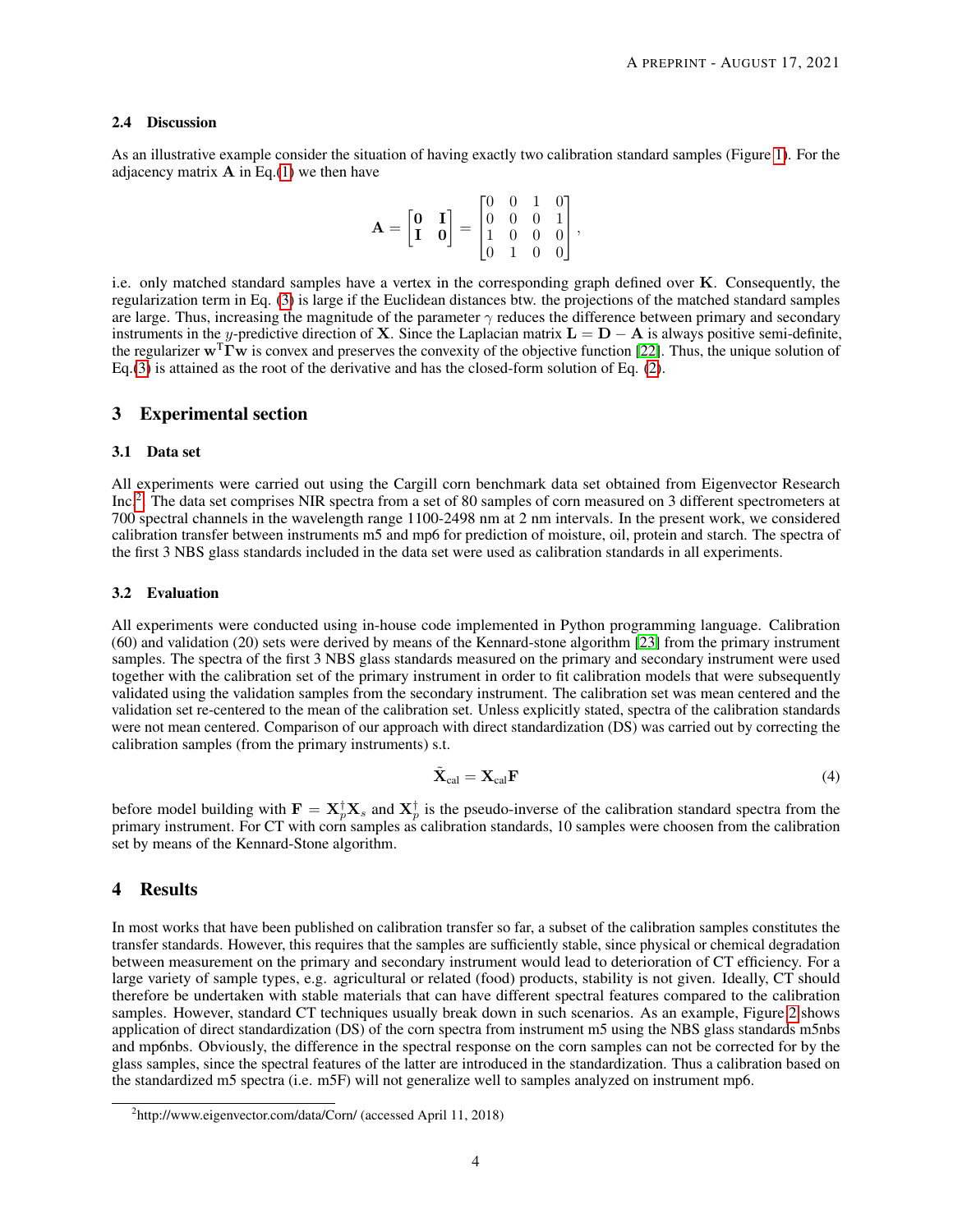#### 2.4 Discussion

As an illustrative example consider the situation of having exactly two calibration standard samples (Figure [1\)](#page-2-1). For the adjacency matrix  $A$  in Eq.[\(1\)](#page-1-0) we then have

$$
\mathbf{A} = \begin{bmatrix} \mathbf{0} & \mathbf{I} \\ \mathbf{I} & \mathbf{0} \end{bmatrix} = \begin{bmatrix} 0 & 0 & 1 & 0 \\ 0 & 0 & 0 & 1 \\ 1 & 0 & 0 & 0 \\ 0 & 1 & 0 & 0 \end{bmatrix},
$$

i.e. only matched standard samples have a vertex in the corresponding graph defined over  $K$ . Consequently, the regularization term in Eq. [\(3\)](#page-2-0) is large if the Euclidean distances btw. the projections of the matched standard samples are large. Thus, increasing the magnitude of the parameter  $\gamma$  reduces the difference between primary and secondary instruments in the y-predictive direction of X. Since the Laplacian matrix  $L = D - A$  is always positive semi-definite, the regularizer  $\mathbf{w}^T\mathbf{\Gamma}\mathbf{w}$  is convex and preserves the convexity of the objective function [\[22\]](#page-9-3). Thus, the unique solution of Eq.[\(3\)](#page-2-0) is attained as the root of the derivative and has the closed-form solution of Eq. [\(2\)](#page-2-2).

### 3 Experimental section

### 3.1 Data set

All experiments were carried out using the Cargill corn benchmark data set obtained from Eigenvector Research Inc.<sup>[2](#page-3-0)</sup>. The data set comprises NIR spectra from a set of 80 samples of corn measured on 3 different spectrometers at 700 spectral channels in the wavelength range 1100-2498 nm at 2 nm intervals. In the present work, we considered calibration transfer between instruments m5 and mp6 for prediction of moisture, oil, protein and starch. The spectra of the first 3 NBS glass standards included in the data set were used as calibration standards in all experiments.

#### 3.2 Evaluation

All experiments were conducted using in-house code implemented in Python programming language. Calibration (60) and validation (20) sets were derived by means of the Kennard-stone algorithm [\[23\]](#page-9-4) from the primary instrument samples. The spectra of the first 3 NBS glass standards measured on the primary and secondary instrument were used together with the calibration set of the primary instrument in order to fit calibration models that were subsequently validated using the validation samples from the secondary instrument. The calibration set was mean centered and the validation set re-centered to the mean of the calibration set. Unless explicitly stated, spectra of the calibration standards were not mean centered. Comparison of our approach with direct standardization (DS) was carried out by correcting the calibration samples (from the primary instruments) s.t.

$$
\tilde{\mathbf{X}}_{\text{cal}} = \mathbf{X}_{\text{cal}} \mathbf{F} \tag{4}
$$

before model building with  $F = X^{\dagger}_p X_s$  and  $X^{\dagger}_p$  is the pseudo-inverse of the calibration standard spectra from the primary instrument. For CT with corn samples as calibration standards, 10 samples were choosen from the calibration set by means of the Kennard-Stone algorithm.

# 4 Results

In most works that have been published on calibration transfer so far, a subset of the calibration samples constitutes the transfer standards. However, this requires that the samples are sufficiently stable, since physical or chemical degradation between measurement on the primary and secondary instrument would lead to deterioration of CT efficiency. For a large variety of sample types, e.g. agricultural or related (food) products, stability is not given. Ideally, CT should therefore be undertaken with stable materials that can have different spectral features compared to the calibration samples. However, standard CT techniques usually break down in such scenarios. As an example, Figure [2](#page-4-0) shows application of direct standardization (DS) of the corn spectra from instrument m5 using the NBS glass standards m5nbs and mp6nbs. Obviously, the difference in the spectral response on the corn samples can not be corrected for by the glass samples, since the spectral features of the latter are introduced in the standardization. Thus a calibration based on the standardized m5 spectra (i.e. m5F) will not generalize well to samples analyzed on instrument mp6.

<span id="page-3-0"></span><sup>&</sup>lt;sup>2</sup>http://www.eigenvector.com/data/Corn/ (accessed April 11, 2018)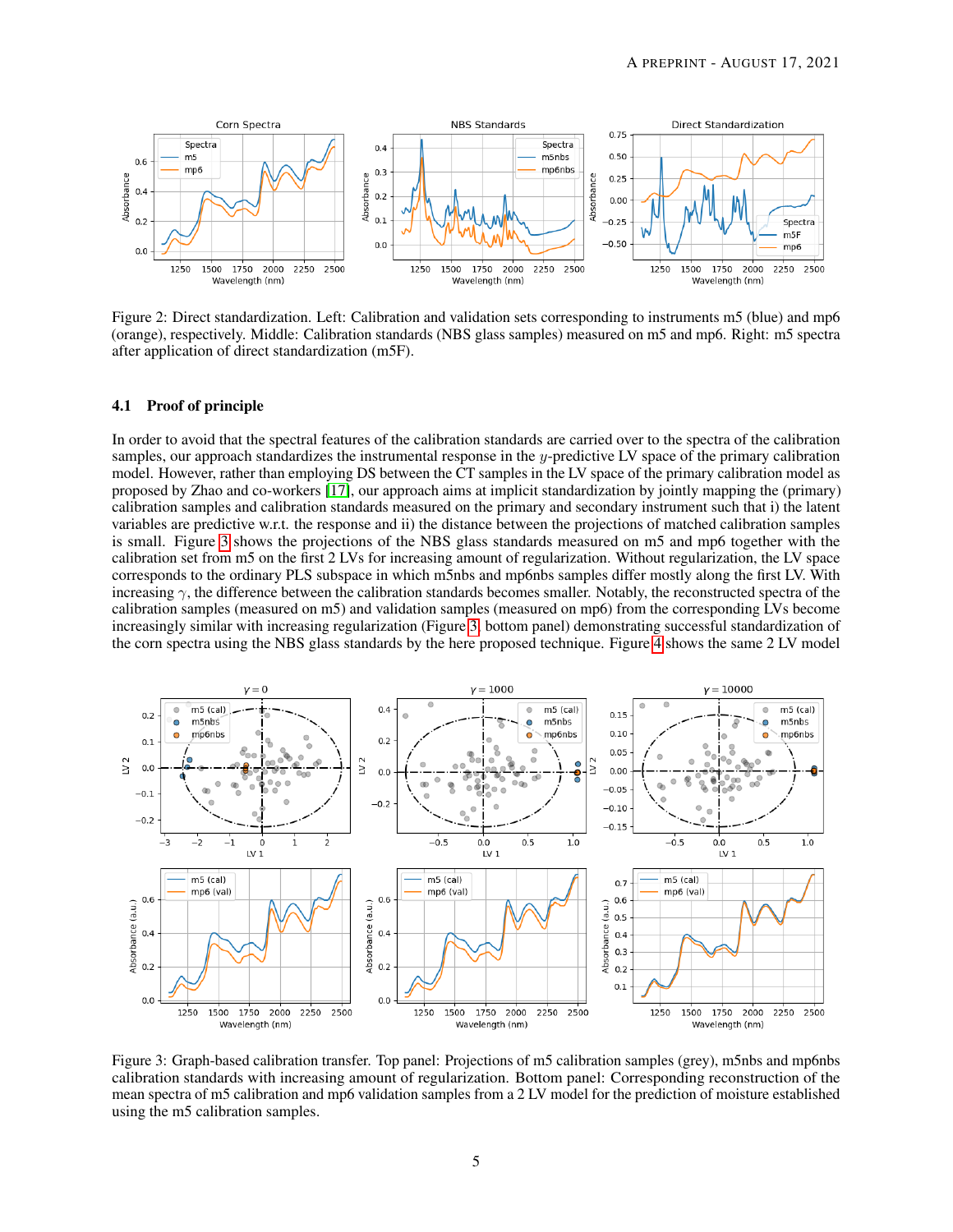

<span id="page-4-0"></span>Figure 2: Direct standardization. Left: Calibration and validation sets corresponding to instruments m5 (blue) and mp6 (orange), respectively. Middle: Calibration standards (NBS glass samples) measured on m5 and mp6. Right: m5 spectra after application of direct standardization (m5F).

#### 4.1 Proof of principle

In order to avoid that the spectral features of the calibration standards are carried over to the spectra of the calibration samples, our approach standardizes the instrumental response in the  $\psi$ -predictive LV space of the primary calibration model. However, rather than employing DS between the CT samples in the LV space of the primary calibration model as proposed by Zhao and co-workers [\[17\]](#page-8-16), our approach aims at implicit standardization by jointly mapping the (primary) calibration samples and calibration standards measured on the primary and secondary instrument such that i) the latent variables are predictive w.r.t. the response and ii) the distance between the projections of matched calibration samples is small. Figure [3](#page-4-1) shows the projections of the NBS glass standards measured on m5 and mp6 together with the calibration set from m5 on the first 2 LVs for increasing amount of regularization. Without regularization, the LV space corresponds to the ordinary PLS subspace in which m5nbs and mp6nbs samples differ mostly along the first LV. With increasing  $\gamma$ , the difference between the calibration standards becomes smaller. Notably, the reconstructed spectra of the calibration samples (measured on m5) and validation samples (measured on mp6) from the corresponding LVs become increasingly similar with increasing regularization (Figure [3,](#page-4-1) bottom panel) demonstrating successful standardization of the corn spectra using the NBS glass standards by the here proposed technique. Figure [4](#page-5-0) shows the same 2 LV model



<span id="page-4-1"></span>Figure 3: Graph-based calibration transfer. Top panel: Projections of m5 calibration samples (grey), m5nbs and mp6nbs calibration standards with increasing amount of regularization. Bottom panel: Corresponding reconstruction of the mean spectra of m5 calibration and mp6 validation samples from a 2 LV model for the prediction of moisture established using the m5 calibration samples.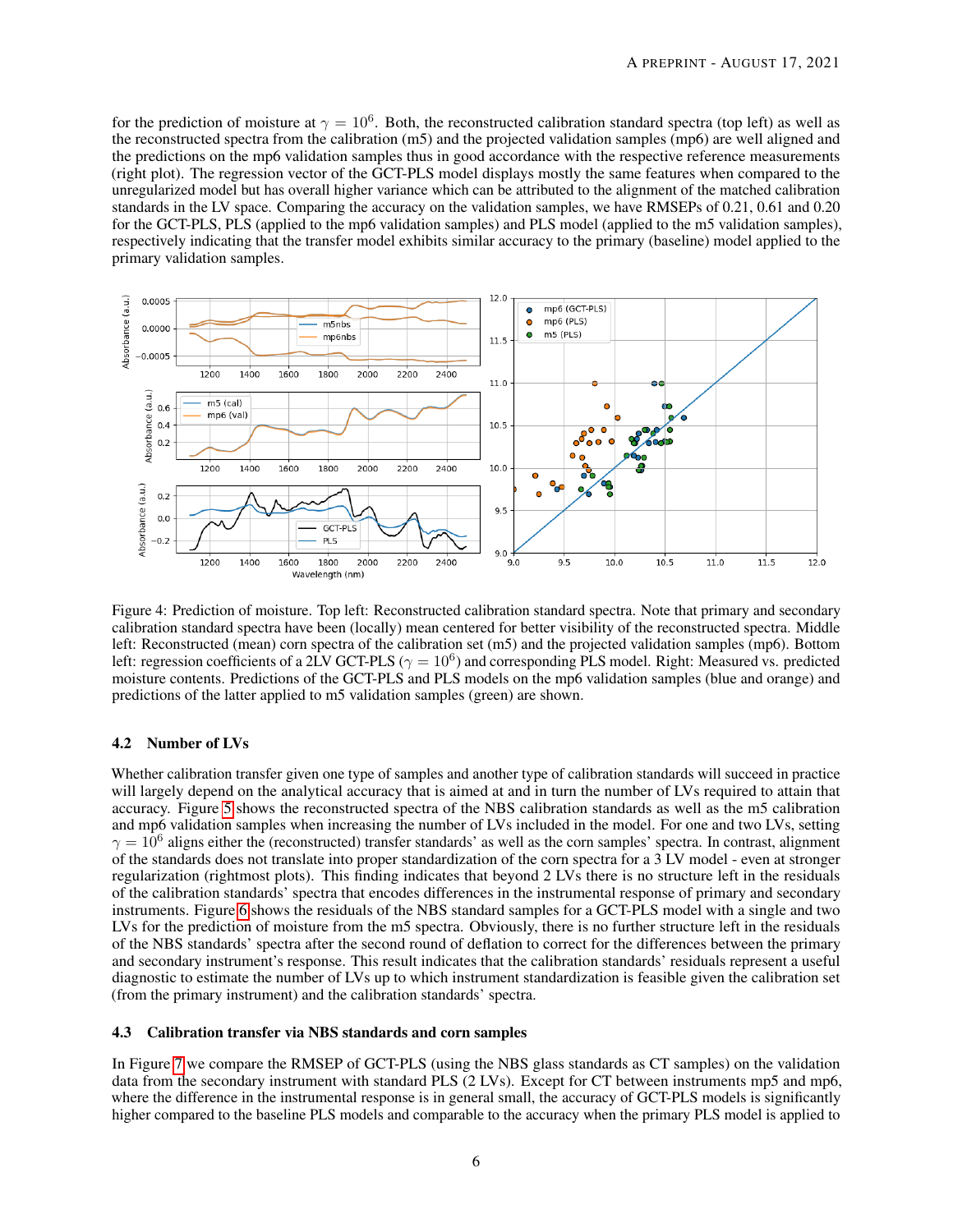for the prediction of moisture at  $\gamma = 10^6$ . Both, the reconstructed calibration standard spectra (top left) as well as the reconstructed spectra from the calibration (m5) and the projected validation samples (mp6) are well aligned and the predictions on the mp6 validation samples thus in good accordance with the respective reference measurements (right plot). The regression vector of the GCT-PLS model displays mostly the same features when compared to the unregularized model but has overall higher variance which can be attributed to the alignment of the matched calibration standards in the LV space. Comparing the accuracy on the validation samples, we have RMSEPs of 0.21, 0.61 and 0.20 for the GCT-PLS, PLS (applied to the mp6 validation samples) and PLS model (applied to the m5 validation samples), respectively indicating that the transfer model exhibits similar accuracy to the primary (baseline) model applied to the primary validation samples.



<span id="page-5-0"></span>Figure 4: Prediction of moisture. Top left: Reconstructed calibration standard spectra. Note that primary and secondary calibration standard spectra have been (locally) mean centered for better visibility of the reconstructed spectra. Middle left: Reconstructed (mean) corn spectra of the calibration set (m5) and the projected validation samples (mp6). Bottom left: regression coefficients of a 2LV GCT-PLS ( $\gamma = 10^6$ ) and corresponding PLS model. Right: Measured vs. predicted moisture contents. Predictions of the GCT-PLS and PLS models on the mp6 validation samples (blue and orange) and predictions of the latter applied to m5 validation samples (green) are shown.

#### 4.2 Number of LVs

Whether calibration transfer given one type of samples and another type of calibration standards will succeed in practice will largely depend on the analytical accuracy that is aimed at and in turn the number of LVs required to attain that accuracy. Figure [5](#page-6-0) shows the reconstructed spectra of the NBS calibration standards as well as the m5 calibration and mp6 validation samples when increasing the number of LVs included in the model. For one and two LVs, setting  $\gamma = 10^6$  aligns either the (reconstructed) transfer standards' as well as the corn samples' spectra. In contrast, alignment of the standards does not translate into proper standardization of the corn spectra for a 3 LV model - even at stronger regularization (rightmost plots). This finding indicates that beyond 2 LVs there is no structure left in the residuals of the calibration standards' spectra that encodes differences in the instrumental response of primary and secondary instruments. Figure [6](#page-6-1) shows the residuals of the NBS standard samples for a GCT-PLS model with a single and two LVs for the prediction of moisture from the m5 spectra. Obviously, there is no further structure left in the residuals of the NBS standards' spectra after the second round of deflation to correct for the differences between the primary and secondary instrument's response. This result indicates that the calibration standards' residuals represent a useful diagnostic to estimate the number of LVs up to which instrument standardization is feasible given the calibration set (from the primary instrument) and the calibration standards' spectra.

#### 4.3 Calibration transfer via NBS standards and corn samples

In Figure [7](#page-7-0) we compare the RMSEP of GCT-PLS (using the NBS glass standards as CT samples) on the validation data from the secondary instrument with standard PLS (2 LVs). Except for CT between instruments mp5 and mp6, where the difference in the instrumental response is in general small, the accuracy of GCT-PLS models is significantly higher compared to the baseline PLS models and comparable to the accuracy when the primary PLS model is applied to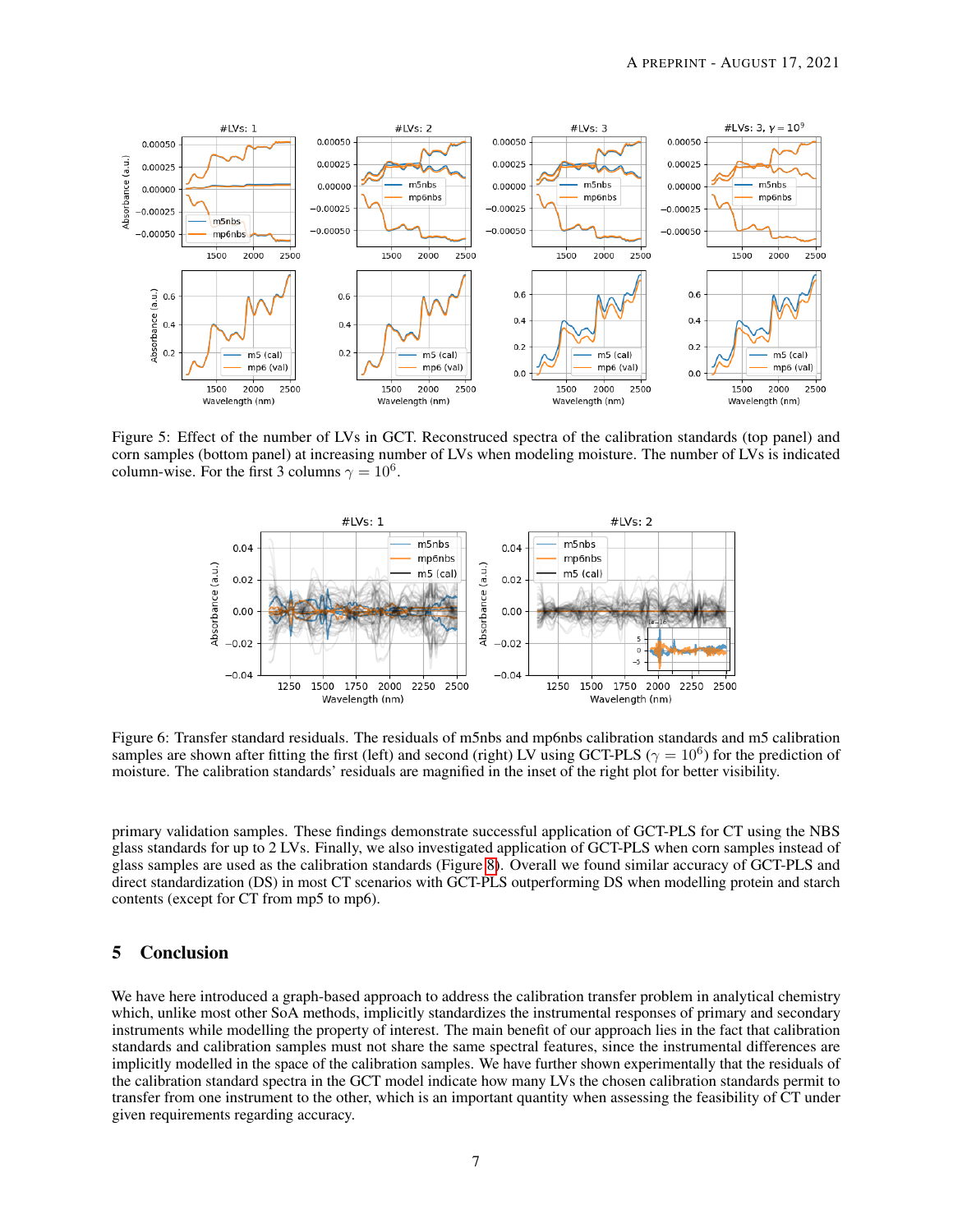

Figure 5: Effect of the number of LVs in GCT. Reconstruced spectra of the calibration standards (top panel) and corn samples (bottom panel) at increasing number of LVs when modeling moisture. The number of LVs is indicated column-wise. For the first 3 columns  $\gamma = 10^6$ .

<span id="page-6-1"></span><span id="page-6-0"></span>

Figure 6: Transfer standard residuals. The residuals of m5nbs and mp6nbs calibration standards and m5 calibration samples are shown after fitting the first (left) and second (right) LV using GCT-PLS ( $\gamma = 10^6$ ) for the prediction of moisture. The calibration standards' residuals are magnified in the inset of the right plot for better visibility.

primary validation samples. These findings demonstrate successful application of GCT-PLS for CT using the NBS glass standards for up to 2 LVs. Finally, we also investigated application of GCT-PLS when corn samples instead of glass samples are used as the calibration standards (Figure [8\)](#page-7-1). Overall we found similar accuracy of GCT-PLS and direct standardization (DS) in most CT scenarios with GCT-PLS outperforming DS when modelling protein and starch contents (except for CT from mp5 to mp6).

# 5 Conclusion

We have here introduced a graph-based approach to address the calibration transfer problem in analytical chemistry which, unlike most other SoA methods, implicitly standardizes the instrumental responses of primary and secondary instruments while modelling the property of interest. The main benefit of our approach lies in the fact that calibration standards and calibration samples must not share the same spectral features, since the instrumental differences are implicitly modelled in the space of the calibration samples. We have further shown experimentally that the residuals of the calibration standard spectra in the GCT model indicate how many LVs the chosen calibration standards permit to transfer from one instrument to the other, which is an important quantity when assessing the feasibility of CT under given requirements regarding accuracy.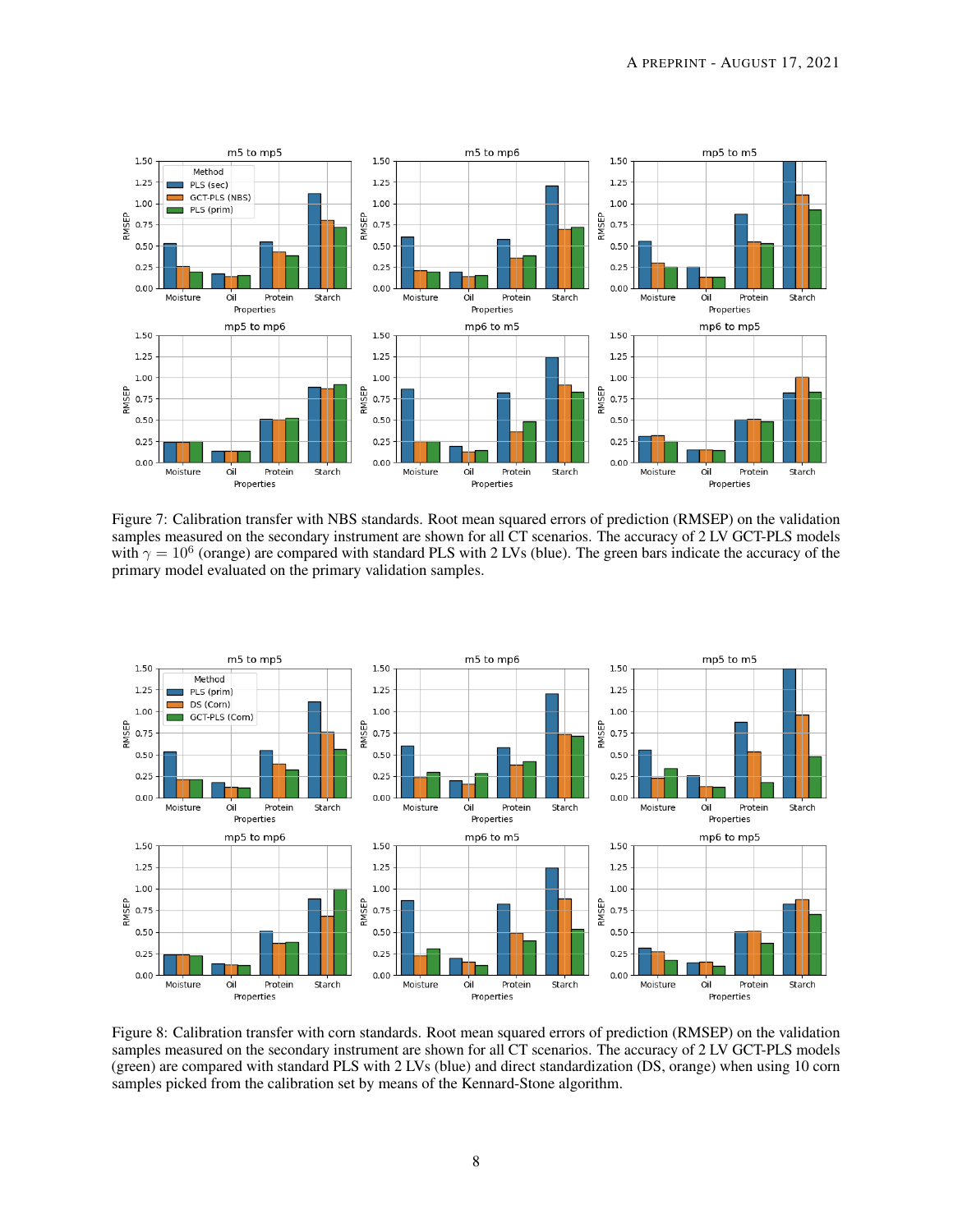

<span id="page-7-0"></span>Figure 7: Calibration transfer with NBS standards. Root mean squared errors of prediction (RMSEP) on the validation samples measured on the secondary instrument are shown for all CT scenarios. The accuracy of 2 LV GCT-PLS models with  $\gamma = 10^6$  (orange) are compared with standard PLS with 2 LVs (blue). The green bars indicate the accuracy of the primary model evaluated on the primary validation samples.



<span id="page-7-1"></span>Figure 8: Calibration transfer with corn standards. Root mean squared errors of prediction (RMSEP) on the validation samples measured on the secondary instrument are shown for all CT scenarios. The accuracy of 2 LV GCT-PLS models (green) are compared with standard PLS with 2 LVs (blue) and direct standardization (DS, orange) when using 10 corn samples picked from the calibration set by means of the Kennard-Stone algorithm.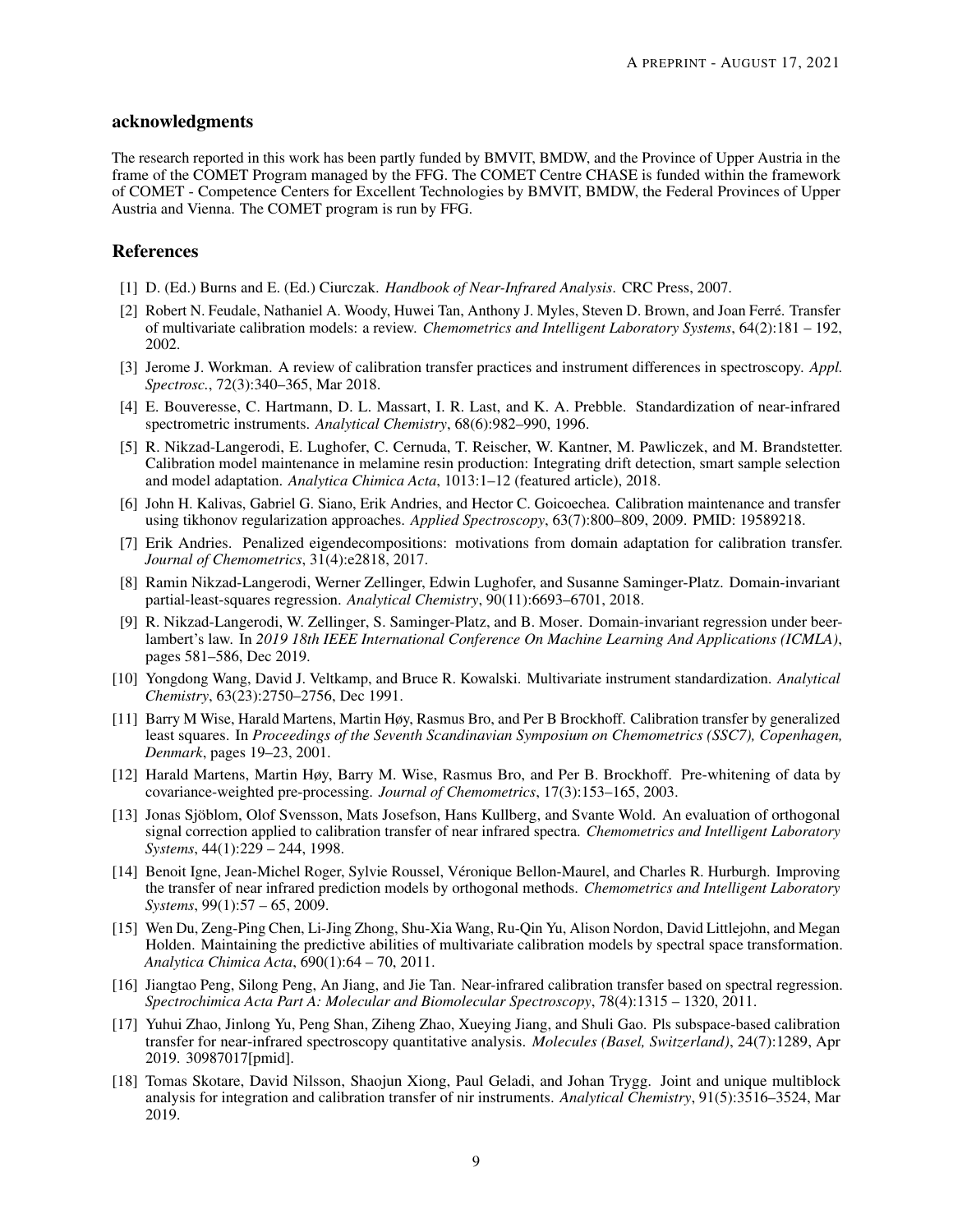### acknowledgments

The research reported in this work has been partly funded by BMVIT, BMDW, and the Province of Upper Austria in the frame of the COMET Program managed by the FFG. The COMET Centre CHASE is funded within the framework of COMET - Competence Centers for Excellent Technologies by BMVIT, BMDW, the Federal Provinces of Upper Austria and Vienna. The COMET program is run by FFG.

## References

- <span id="page-8-0"></span>[1] D. (Ed.) Burns and E. (Ed.) Ciurczak. *Handbook of Near-Infrared Analysis*. CRC Press, 2007.
- <span id="page-8-1"></span>[2] Robert N. Feudale, Nathaniel A. Woody, Huwei Tan, Anthony J. Myles, Steven D. Brown, and Joan Ferré. Transfer of multivariate calibration models: a review. *Chemometrics and Intelligent Laboratory Systems*, 64(2):181 – 192, 2002.
- <span id="page-8-2"></span>[3] Jerome J. Workman. A review of calibration transfer practices and instrument differences in spectroscopy. *Appl. Spectrosc.*, 72(3):340–365, Mar 2018.
- <span id="page-8-3"></span>[4] E. Bouveresse, C. Hartmann, D. L. Massart, I. R. Last, and K. A. Prebble. Standardization of near-infrared spectrometric instruments. *Analytical Chemistry*, 68(6):982–990, 1996.
- <span id="page-8-4"></span>[5] R. Nikzad-Langerodi, E. Lughofer, C. Cernuda, T. Reischer, W. Kantner, M. Pawliczek, and M. Brandstetter. Calibration model maintenance in melamine resin production: Integrating drift detection, smart sample selection and model adaptation. *Analytica Chimica Acta*, 1013:1–12 (featured article), 2018.
- <span id="page-8-5"></span>[6] John H. Kalivas, Gabriel G. Siano, Erik Andries, and Hector C. Goicoechea. Calibration maintenance and transfer using tikhonov regularization approaches. *Applied Spectroscopy*, 63(7):800–809, 2009. PMID: 19589218.
- <span id="page-8-6"></span>[7] Erik Andries. Penalized eigendecompositions: motivations from domain adaptation for calibration transfer. *Journal of Chemometrics*, 31(4):e2818, 2017.
- <span id="page-8-7"></span>[8] Ramin Nikzad-Langerodi, Werner Zellinger, Edwin Lughofer, and Susanne Saminger-Platz. Domain-invariant partial-least-squares regression. *Analytical Chemistry*, 90(11):6693–6701, 2018.
- <span id="page-8-8"></span>[9] R. Nikzad-Langerodi, W. Zellinger, S. Saminger-Platz, and B. Moser. Domain-invariant regression under beerlambert's law. In *2019 18th IEEE International Conference On Machine Learning And Applications (ICMLA)*, pages 581–586, Dec 2019.
- <span id="page-8-9"></span>[10] Yongdong Wang, David J. Veltkamp, and Bruce R. Kowalski. Multivariate instrument standardization. *Analytical Chemistry*, 63(23):2750–2756, Dec 1991.
- <span id="page-8-10"></span>[11] Barry M Wise, Harald Martens, Martin Høy, Rasmus Bro, and Per B Brockhoff. Calibration transfer by generalized least squares. In *Proceedings of the Seventh Scandinavian Symposium on Chemometrics (SSC7), Copenhagen, Denmark*, pages 19–23, 2001.
- <span id="page-8-11"></span>[12] Harald Martens, Martin Høy, Barry M. Wise, Rasmus Bro, and Per B. Brockhoff. Pre-whitening of data by covariance-weighted pre-processing. *Journal of Chemometrics*, 17(3):153–165, 2003.
- <span id="page-8-12"></span>[13] Jonas Sjöblom, Olof Svensson, Mats Josefson, Hans Kullberg, and Svante Wold. An evaluation of orthogonal signal correction applied to calibration transfer of near infrared spectra. *Chemometrics and Intelligent Laboratory Systems*, 44(1):229 – 244, 1998.
- <span id="page-8-13"></span>[14] Benoit Igne, Jean-Michel Roger, Sylvie Roussel, Véronique Bellon-Maurel, and Charles R. Hurburgh. Improving the transfer of near infrared prediction models by orthogonal methods. *Chemometrics and Intelligent Laboratory Systems*, 99(1):57 – 65, 2009.
- <span id="page-8-14"></span>[15] Wen Du, Zeng-Ping Chen, Li-Jing Zhong, Shu-Xia Wang, Ru-Qin Yu, Alison Nordon, David Littlejohn, and Megan Holden. Maintaining the predictive abilities of multivariate calibration models by spectral space transformation. *Analytica Chimica Acta*, 690(1):64 – 70, 2011.
- <span id="page-8-15"></span>[16] Jiangtao Peng, Silong Peng, An Jiang, and Jie Tan. Near-infrared calibration transfer based on spectral regression. *Spectrochimica Acta Part A: Molecular and Biomolecular Spectroscopy*, 78(4):1315 – 1320, 2011.
- <span id="page-8-16"></span>[17] Yuhui Zhao, Jinlong Yu, Peng Shan, Ziheng Zhao, Xueying Jiang, and Shuli Gao. Pls subspace-based calibration transfer for near-infrared spectroscopy quantitative analysis. *Molecules (Basel, Switzerland)*, 24(7):1289, Apr 2019. 30987017[pmid].
- <span id="page-8-17"></span>[18] Tomas Skotare, David Nilsson, Shaojun Xiong, Paul Geladi, and Johan Trygg. Joint and unique multiblock analysis for integration and calibration transfer of nir instruments. *Analytical Chemistry*, 91(5):3516–3524, Mar 2019.